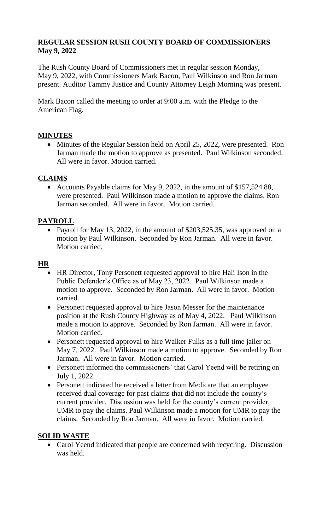### **REGULAR SESSION RUSH COUNTY BOARD OF COMMISSIONERS May 9, 2022**

The Rush County Board of Commissioners met in regular session Monday, May 9, 2022, with Commissioners Mark Bacon, Paul Wilkinson and Ron Jarman present. Auditor Tammy Justice and County Attorney Leigh Morning was present.

Mark Bacon called the meeting to order at 9:00 a.m. with the Pledge to the American Flag.

# **MINUTES**

• Minutes of the Regular Session held on April 25, 2022, were presented. Ron Jarman made the motion to approve as presented. Paul Wilkinson seconded. All were in favor. Motion carried.

# **CLAIMS**

• Accounts Payable claims for May 9, 2022, in the amount of \$157,524.88, were presented. Paul Wilkinson made a motion to approve the claims. Ron Jarman seconded. All were in favor. Motion carried.

### **PAYROLL**

• Payroll for May 13, 2022, in the amount of \$203,525.35, was approved on a motion by Paul Wilkinson. Seconded by Ron Jarman. All were in favor. Motion carried.

### **HR**

- HR Director, Tony Personett requested approval to hire Hali Ison in the Public Defender's Office as of May 23, 2022. Paul Wilkinson made a motion to approve. Seconded by Ron Jarman. All were in favor. Motion carried.
- Personett requested approval to hire Jason Messer for the maintenance position at the Rush County Highway as of May 4, 2022. Paul Wilkinson made a motion to approve. Seconded by Ron Jarman. All were in favor. Motion carried.
- Personett requested approval to hire Walker Fulks as a full time jailer on May 7, 2022. Paul Wilkinson made a motion to approve. Seconded by Ron Jarman. All were in favor. Motion carried.
- Personett informed the commissioners' that Carol Yeend will be retiring on July 1, 2022.
- Personett indicated he received a letter from Medicare that an employee received dual coverage for past claims that did not include the county's current provider. Discussion was held for the county's current provider, UMR to pay the claims. Paul Wilkinson made a motion for UMR to pay the claims. Seconded by Ron Jarman. All were in favor. Motion carried.

### **SOLID WASTE**

• Carol Yeend indicated that people are concerned with recycling. Discussion was held.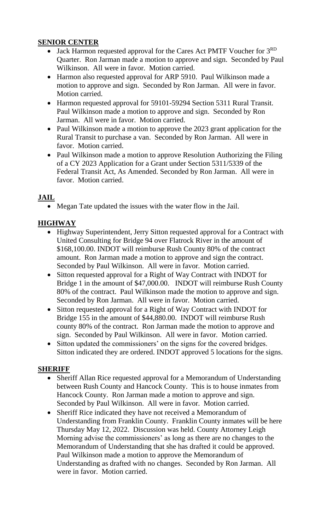### **SENIOR CENTER**

- Jack Harmon requested approval for the Cares Act PMTF Voucher for  $3<sup>RD</sup>$ Quarter. Ron Jarman made a motion to approve and sign. Seconded by Paul Wilkinson. All were in favor. Motion carried.
- Harmon also requested approval for ARP 5910. Paul Wilkinson made a motion to approve and sign. Seconded by Ron Jarman. All were in favor. Motion carried.
- Harmon requested approval for 59101-59294 Section 5311 Rural Transit. Paul Wilkinson made a motion to approve and sign. Seconded by Ron Jarman. All were in favor. Motion carried.
- Paul Wilkinson made a motion to approve the 2023 grant application for the Rural Transit to purchase a van. Seconded by Ron Jarman. All were in favor. Motion carried.
- Paul Wilkinson made a motion to approve Resolution Authorizing the Filing of a CY 2023 Application for a Grant under Section 5311/5339 of the Federal Transit Act, As Amended. Seconded by Ron Jarman. All were in favor. Motion carried.

# **JAIL**

Megan Tate updated the issues with the water flow in the Jail.

# **HIGHWAY**

- Highway Superintendent, Jerry Sitton requested approval for a Contract with United Consulting for Bridge 94 over Flatrock River in the amount of \$168,100.00. INDOT will reimburse Rush County 80% of the contract amount. Ron Jarman made a motion to approve and sign the contract. Seconded by Paul Wilkinson. All were in favor. Motion carried.
- Sitton requested approval for a Right of Way Contract with INDOT for Bridge 1 in the amount of \$47,000.00. INDOT will reimburse Rush County 80% of the contract. Paul Wilkinson made the motion to approve and sign. Seconded by Ron Jarman. All were in favor. Motion carried.
- Sitton requested approval for a Right of Way Contract with INDOT for Bridge 155 in the amount of \$44,880.00. INDOT will reimburse Rush county 80% of the contract. Ron Jarman made the motion to approve and sign. Seconded by Paul Wilkinson. All were in favor. Motion carried.
- Sitton updated the commissioners' on the signs for the covered bridges. Sitton indicated they are ordered. INDOT approved 5 locations for the signs.

### **SHERIFF**

- Sheriff Allan Rice requested approval for a Memorandum of Understanding between Rush County and Hancock County. This is to house inmates from Hancock County. Ron Jarman made a motion to approve and sign. Seconded by Paul Wilkinson. All were in favor. Motion carried.
- Sheriff Rice indicated they have not received a Memorandum of Understanding from Franklin County. Franklin County inmates will be here Thursday May 12, 2022. Discussion was held. County Attorney Leigh Morning advise the commissioners' as long as there are no changes to the Memorandum of Understanding that she has drafted it could be approved. Paul Wilkinson made a motion to approve the Memorandum of Understanding as drafted with no changes. Seconded by Ron Jarman. All were in favor. Motion carried.